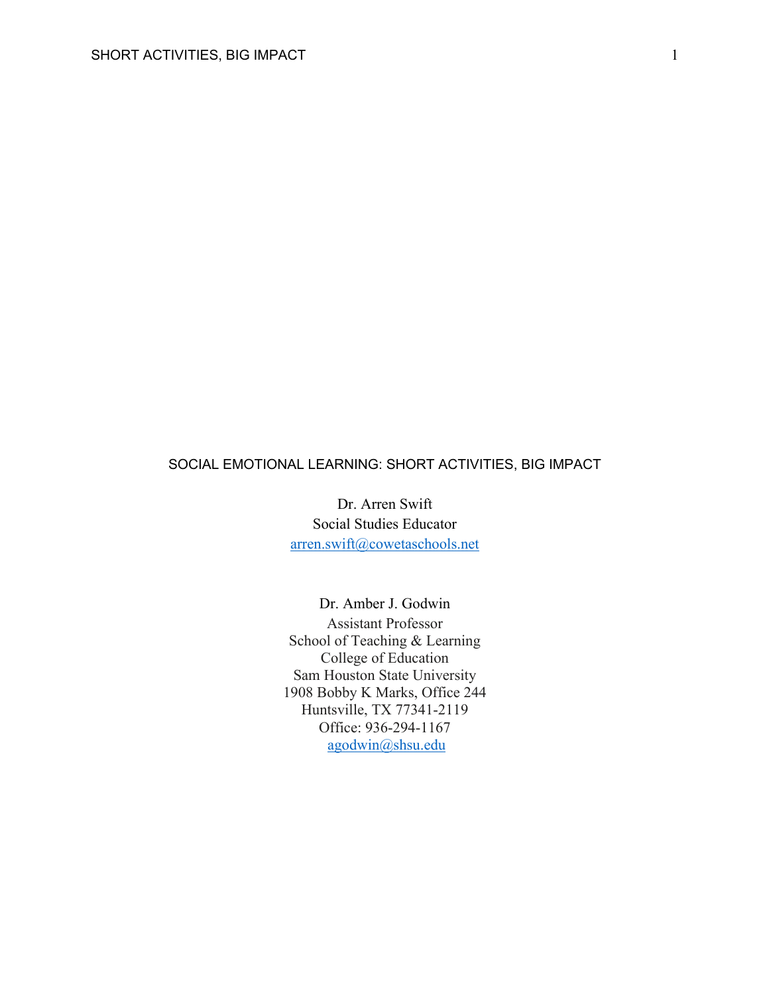# SOCIAL EMOTIONAL LEARNING: SHORT ACTIVITIES, BIG IMPACT

Dr. Arren Swift Social Studies Educator arren.swift@cowetaschools.net

Dr. Amber J. Godwin Assistant Professor School of Teaching & Learning College of Education Sam Houston State University 1908 Bobby K Marks, Office 244 Huntsville, TX 77341-2119 Office: 936-294-1167 agodwin@shsu.edu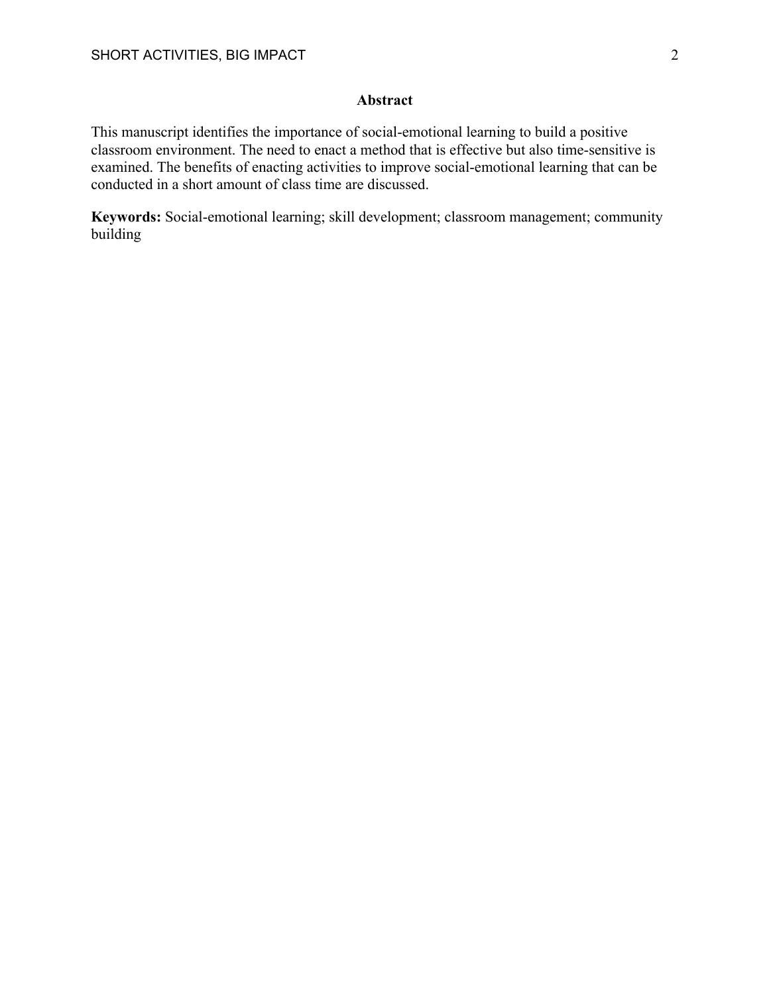# **Abstract**

This manuscript identifies the importance of social-emotional learning to build a positive classroom environment. The need to enact a method that is effective but also time-sensitive is examined. The benefits of enacting activities to improve social-emotional learning that can be conducted in a short amount of class time are discussed.

**Keywords:** Social-emotional learning; skill development; classroom management; community building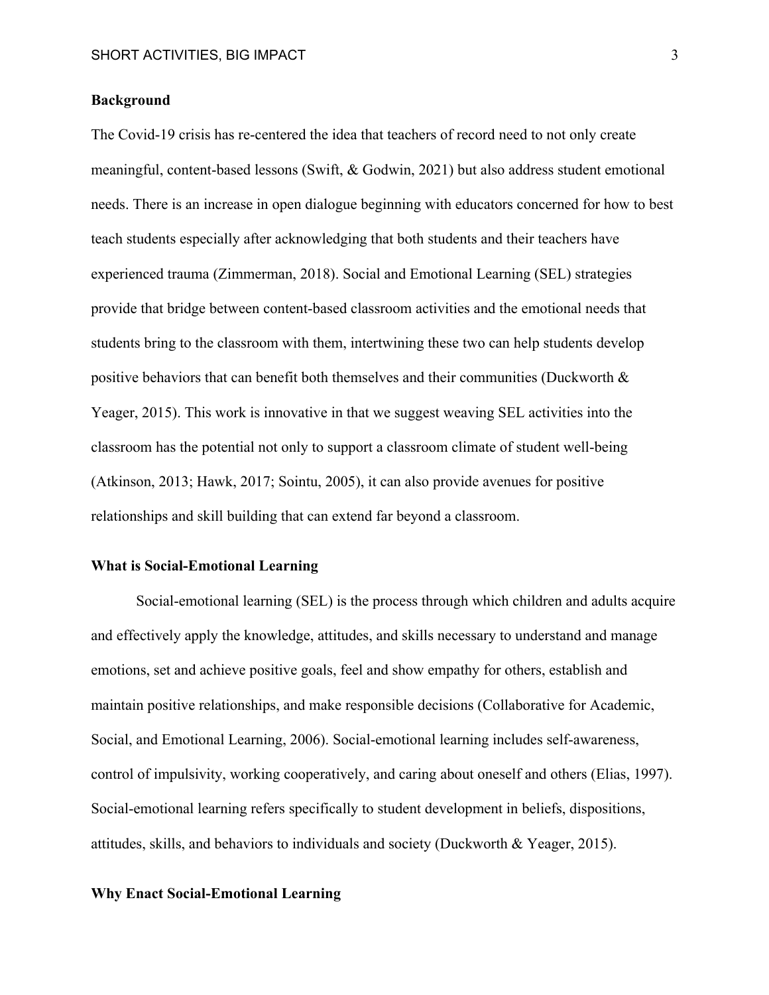## **Background**

The Covid-19 crisis has re-centered the idea that teachers of record need to not only create meaningful, content-based lessons (Swift, & Godwin, 2021) but also address student emotional needs. There is an increase in open dialogue beginning with educators concerned for how to best teach students especially after acknowledging that both students and their teachers have experienced trauma (Zimmerman, 2018). Social and Emotional Learning (SEL) strategies provide that bridge between content-based classroom activities and the emotional needs that students bring to the classroom with them, intertwining these two can help students develop positive behaviors that can benefit both themselves and their communities (Duckworth & Yeager, 2015). This work is innovative in that we suggest weaving SEL activities into the classroom has the potential not only to support a classroom climate of student well-being (Atkinson, 2013; Hawk, 2017; Sointu, 2005), it can also provide avenues for positive relationships and skill building that can extend far beyond a classroom.

## **What is Social-Emotional Learning**

Social-emotional learning (SEL) is the process through which children and adults acquire and effectively apply the knowledge, attitudes, and skills necessary to understand and manage emotions, set and achieve positive goals, feel and show empathy for others, establish and maintain positive relationships, and make responsible decisions (Collaborative for Academic, Social, and Emotional Learning, 2006). Social-emotional learning includes self-awareness, control of impulsivity, working cooperatively, and caring about oneself and others (Elias, 1997). Social-emotional learning refers specifically to student development in beliefs, dispositions, attitudes, skills, and behaviors to individuals and society (Duckworth & Yeager, 2015).

#### **Why Enact Social-Emotional Learning**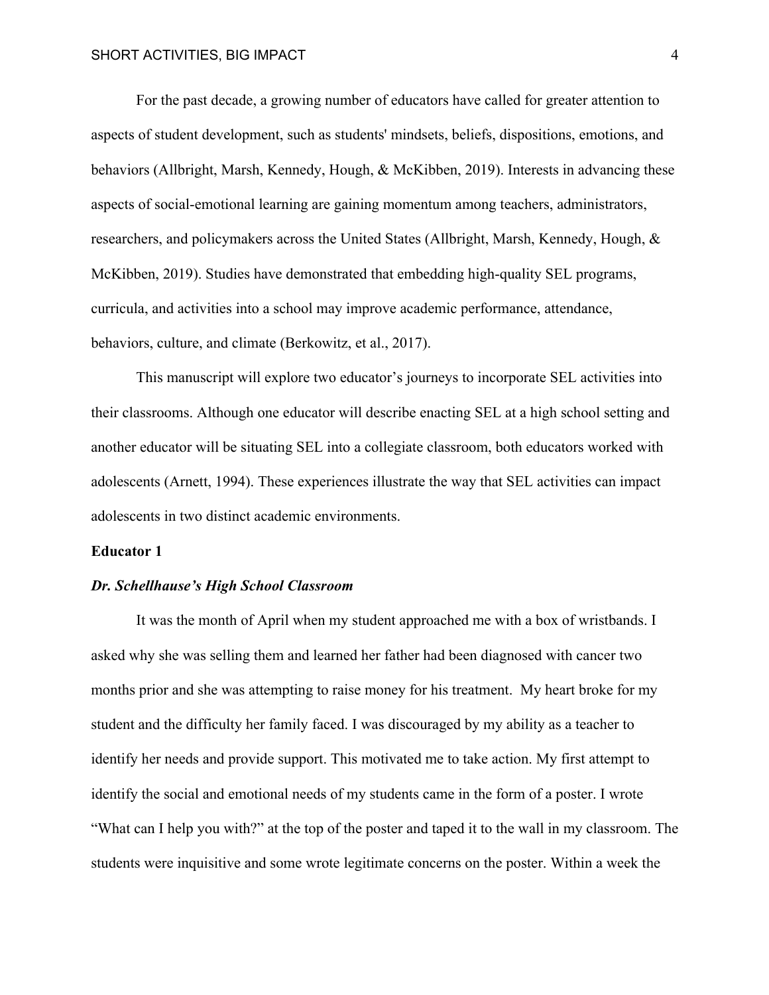For the past decade, a growing number of educators have called for greater attention to aspects of student development, such as students' mindsets, beliefs, dispositions, emotions, and behaviors (Allbright, Marsh, Kennedy, Hough, & McKibben, 2019). Interests in advancing these aspects of social-emotional learning are gaining momentum among teachers, administrators, researchers, and policymakers across the United States (Allbright, Marsh, Kennedy, Hough, & McKibben, 2019). Studies have demonstrated that embedding high-quality SEL programs, curricula, and activities into a school may improve academic performance, attendance, behaviors, culture, and climate (Berkowitz, et al., 2017).

This manuscript will explore two educator's journeys to incorporate SEL activities into their classrooms. Although one educator will describe enacting SEL at a high school setting and another educator will be situating SEL into a collegiate classroom, both educators worked with adolescents (Arnett, 1994). These experiences illustrate the way that SEL activities can impact adolescents in two distinct academic environments.

## **Educator 1**

### *Dr. Schellhause's High School Classroom*

It was the month of April when my student approached me with a box of wristbands. I asked why she was selling them and learned her father had been diagnosed with cancer two months prior and she was attempting to raise money for his treatment. My heart broke for my student and the difficulty her family faced. I was discouraged by my ability as a teacher to identify her needs and provide support. This motivated me to take action. My first attempt to identify the social and emotional needs of my students came in the form of a poster. I wrote "What can I help you with?" at the top of the poster and taped it to the wall in my classroom. The students were inquisitive and some wrote legitimate concerns on the poster. Within a week the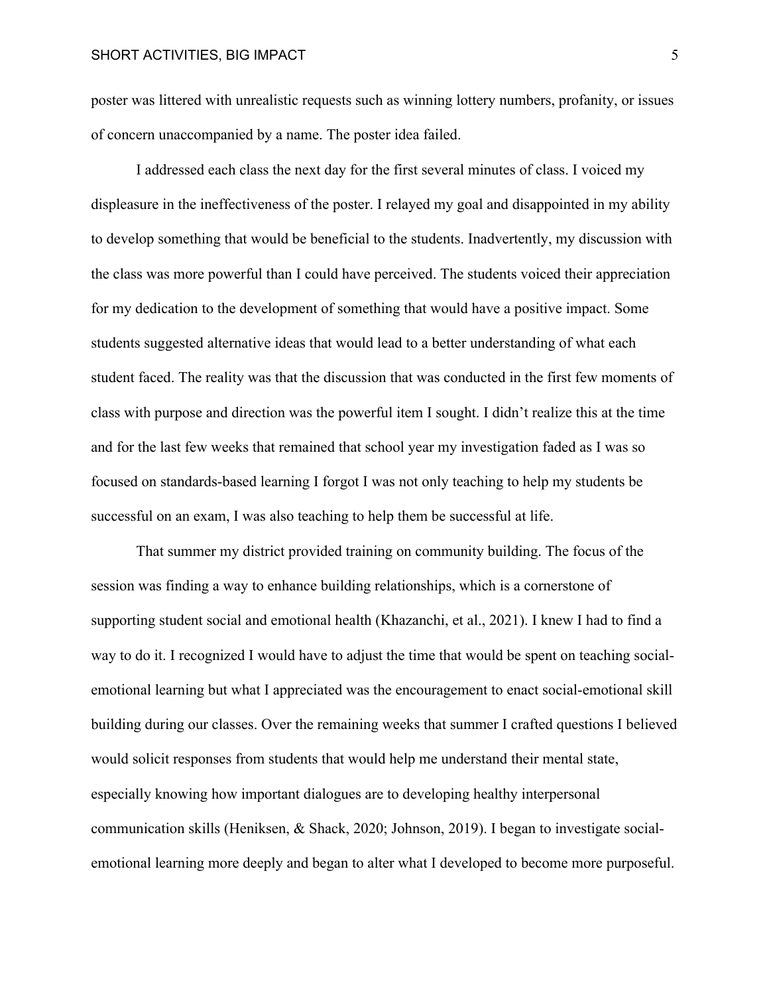poster was littered with unrealistic requests such as winning lottery numbers, profanity, or issues of concern unaccompanied by a name. The poster idea failed.

I addressed each class the next day for the first several minutes of class. I voiced my displeasure in the ineffectiveness of the poster. I relayed my goal and disappointed in my ability to develop something that would be beneficial to the students. Inadvertently, my discussion with the class was more powerful than I could have perceived. The students voiced their appreciation for my dedication to the development of something that would have a positive impact. Some students suggested alternative ideas that would lead to a better understanding of what each student faced. The reality was that the discussion that was conducted in the first few moments of class with purpose and direction was the powerful item I sought. I didn't realize this at the time and for the last few weeks that remained that school year my investigation faded as I was so focused on standards-based learning I forgot I was not only teaching to help my students be successful on an exam, I was also teaching to help them be successful at life.

That summer my district provided training on community building. The focus of the session was finding a way to enhance building relationships, which is a cornerstone of supporting student social and emotional health (Khazanchi, et al., 2021). I knew I had to find a way to do it. I recognized I would have to adjust the time that would be spent on teaching socialemotional learning but what I appreciated was the encouragement to enact social-emotional skill building during our classes. Over the remaining weeks that summer I crafted questions I believed would solicit responses from students that would help me understand their mental state, especially knowing how important dialogues are to developing healthy interpersonal communication skills (Heniksen, & Shack, 2020; Johnson, 2019). I began to investigate socialemotional learning more deeply and began to alter what I developed to become more purposeful.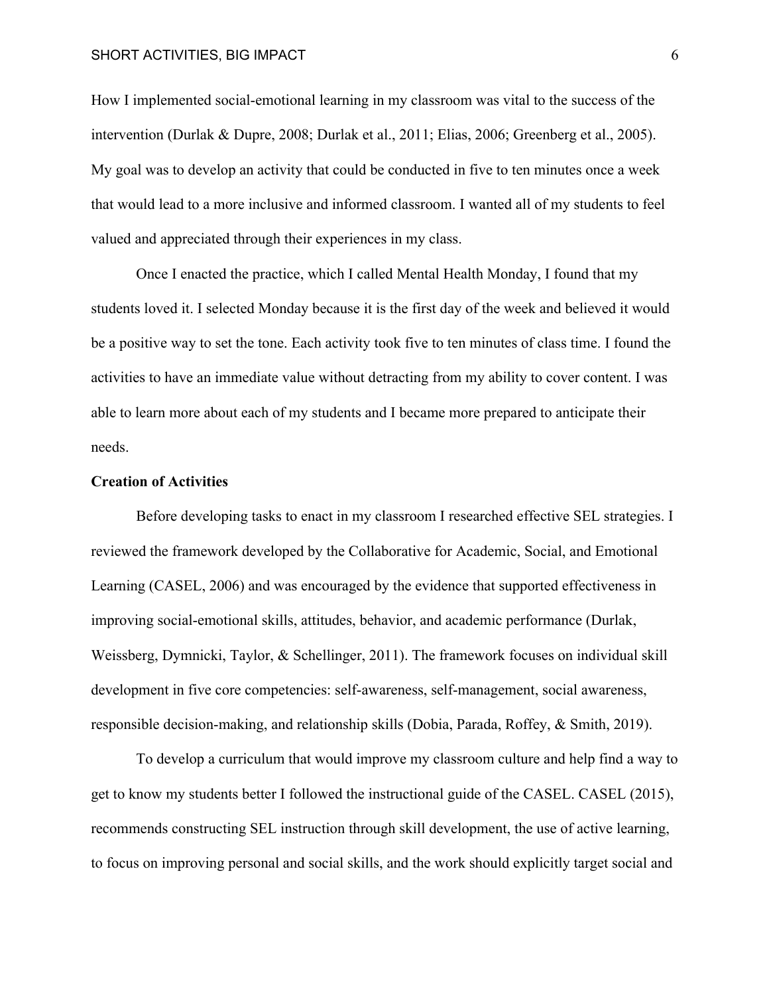## SHORT ACTIVITIES, BIG IMPACT 6

How I implemented social-emotional learning in my classroom was vital to the success of the intervention (Durlak & Dupre, 2008; Durlak et al., 2011; Elias, 2006; Greenberg et al., 2005). My goal was to develop an activity that could be conducted in five to ten minutes once a week that would lead to a more inclusive and informed classroom. I wanted all of my students to feel valued and appreciated through their experiences in my class.

Once I enacted the practice, which I called Mental Health Monday, I found that my students loved it. I selected Monday because it is the first day of the week and believed it would be a positive way to set the tone. Each activity took five to ten minutes of class time. I found the activities to have an immediate value without detracting from my ability to cover content. I was able to learn more about each of my students and I became more prepared to anticipate their needs.

### **Creation of Activities**

Before developing tasks to enact in my classroom I researched effective SEL strategies. I reviewed the framework developed by the Collaborative for Academic, Social, and Emotional Learning (CASEL, 2006) and was encouraged by the evidence that supported effectiveness in improving social-emotional skills, attitudes, behavior, and academic performance (Durlak, Weissberg, Dymnicki, Taylor, & Schellinger, 2011). The framework focuses on individual skill development in five core competencies: self-awareness, self-management, social awareness, responsible decision-making, and relationship skills (Dobia, Parada, Roffey, & Smith, 2019).

To develop a curriculum that would improve my classroom culture and help find a way to get to know my students better I followed the instructional guide of the CASEL. CASEL (2015), recommends constructing SEL instruction through skill development, the use of active learning, to focus on improving personal and social skills, and the work should explicitly target social and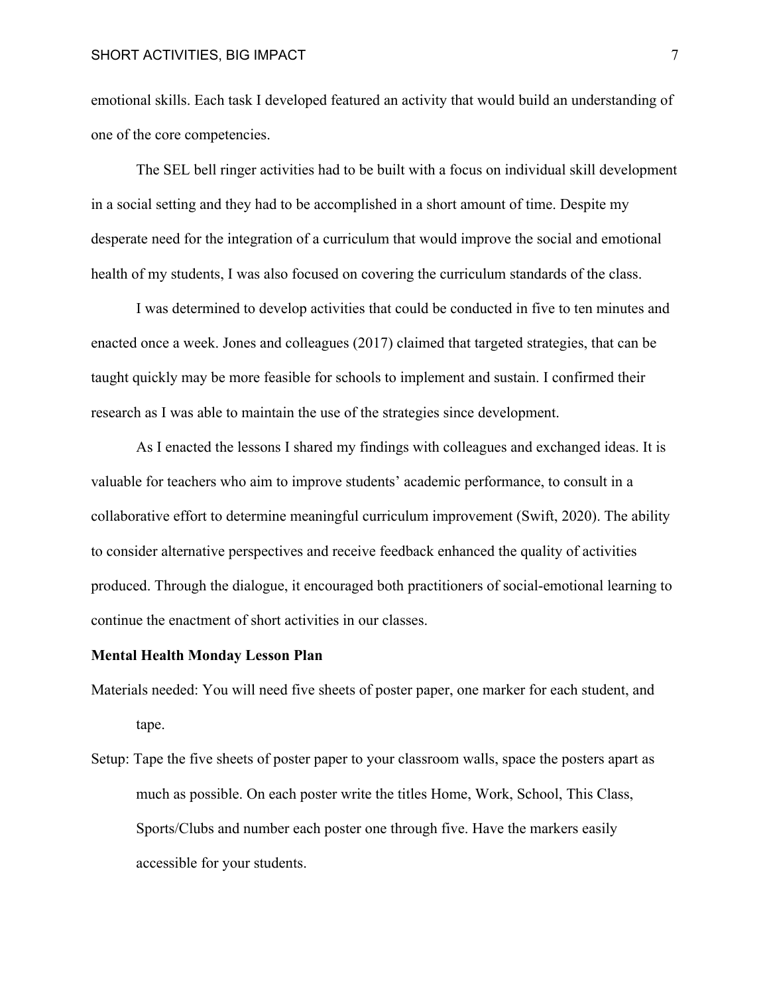#### SHORT ACTIVITIES, BIG IMPACT **7**

emotional skills. Each task I developed featured an activity that would build an understanding of one of the core competencies.

The SEL bell ringer activities had to be built with a focus on individual skill development in a social setting and they had to be accomplished in a short amount of time. Despite my desperate need for the integration of a curriculum that would improve the social and emotional health of my students, I was also focused on covering the curriculum standards of the class.

I was determined to develop activities that could be conducted in five to ten minutes and enacted once a week. Jones and colleagues (2017) claimed that targeted strategies, that can be taught quickly may be more feasible for schools to implement and sustain. I confirmed their research as I was able to maintain the use of the strategies since development.

As I enacted the lessons I shared my findings with colleagues and exchanged ideas. It is valuable for teachers who aim to improve students' academic performance, to consult in a collaborative effort to determine meaningful curriculum improvement (Swift, 2020). The ability to consider alternative perspectives and receive feedback enhanced the quality of activities produced. Through the dialogue, it encouraged both practitioners of social-emotional learning to continue the enactment of short activities in our classes.

#### **Mental Health Monday Lesson Plan**

- Materials needed: You will need five sheets of poster paper, one marker for each student, and tape.
- Setup: Tape the five sheets of poster paper to your classroom walls, space the posters apart as much as possible. On each poster write the titles Home, Work, School, This Class, Sports/Clubs and number each poster one through five. Have the markers easily accessible for your students.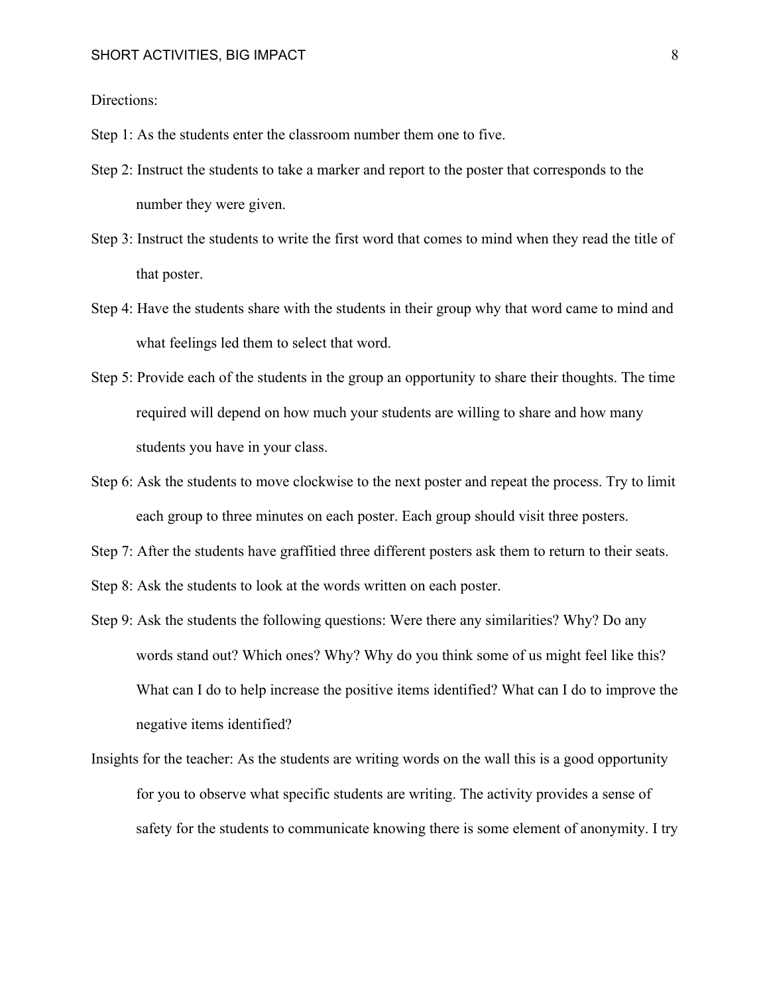Directions:

Step 1: As the students enter the classroom number them one to five.

- Step 2: Instruct the students to take a marker and report to the poster that corresponds to the number they were given.
- Step 3: Instruct the students to write the first word that comes to mind when they read the title of that poster.
- Step 4: Have the students share with the students in their group why that word came to mind and what feelings led them to select that word.
- Step 5: Provide each of the students in the group an opportunity to share their thoughts. The time required will depend on how much your students are willing to share and how many students you have in your class.
- Step 6: Ask the students to move clockwise to the next poster and repeat the process. Try to limit each group to three minutes on each poster. Each group should visit three posters.
- Step 7: After the students have graffitied three different posters ask them to return to their seats.

Step 8: Ask the students to look at the words written on each poster.

- Step 9: Ask the students the following questions: Were there any similarities? Why? Do any words stand out? Which ones? Why? Why do you think some of us might feel like this? What can I do to help increase the positive items identified? What can I do to improve the negative items identified?
- Insights for the teacher: As the students are writing words on the wall this is a good opportunity for you to observe what specific students are writing. The activity provides a sense of safety for the students to communicate knowing there is some element of anonymity. I try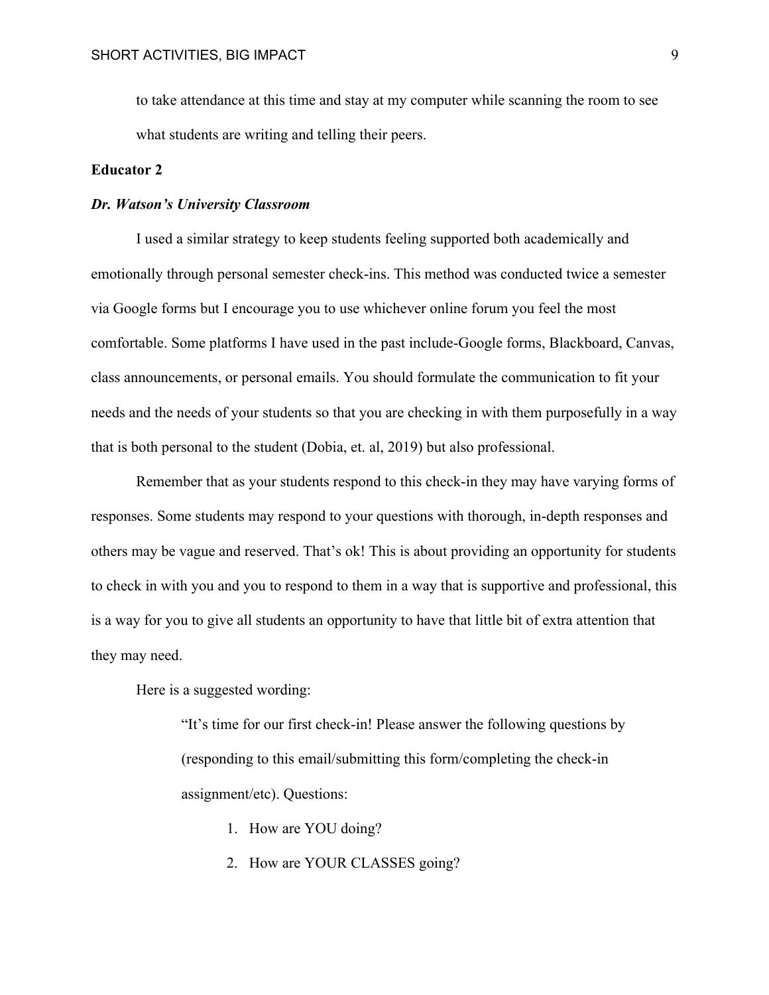to take attendance at this time and stay at my computer while scanning the room to see what students are writing and telling their peers.

### **Educator 2**

#### *Dr. Watson's University Classroom*

I used a similar strategy to keep students feeling supported both academically and emotionally through personal semester check-ins. This method was conducted twice a semester via Google forms but I encourage you to use whichever online forum you feel the most comfortable. Some platforms I have used in the past include-Google forms, Blackboard, Canvas, class announcements, or personal emails. You should formulate the communication to fit your needs and the needs of your students so that you are checking in with them purposefully in a way that is both personal to the student (Dobia, et. al, 2019) but also professional.

Remember that as your students respond to this check-in they may have varying forms of responses. Some students may respond to your questions with thorough, in-depth responses and others may be vague and reserved. That's ok! This is about providing an opportunity for students to check in with you and you to respond to them in a way that is supportive and professional, this is a way for you to give all students an opportunity to have that little bit of extra attention that they may need.

Here is a suggested wording:

"It's time for our first check-in! Please answer the following questions by (responding to this email/submitting this form/completing the check-in assignment/etc). Questions:

- 1. How are YOU doing?
- 2. How are YOUR CLASSES going?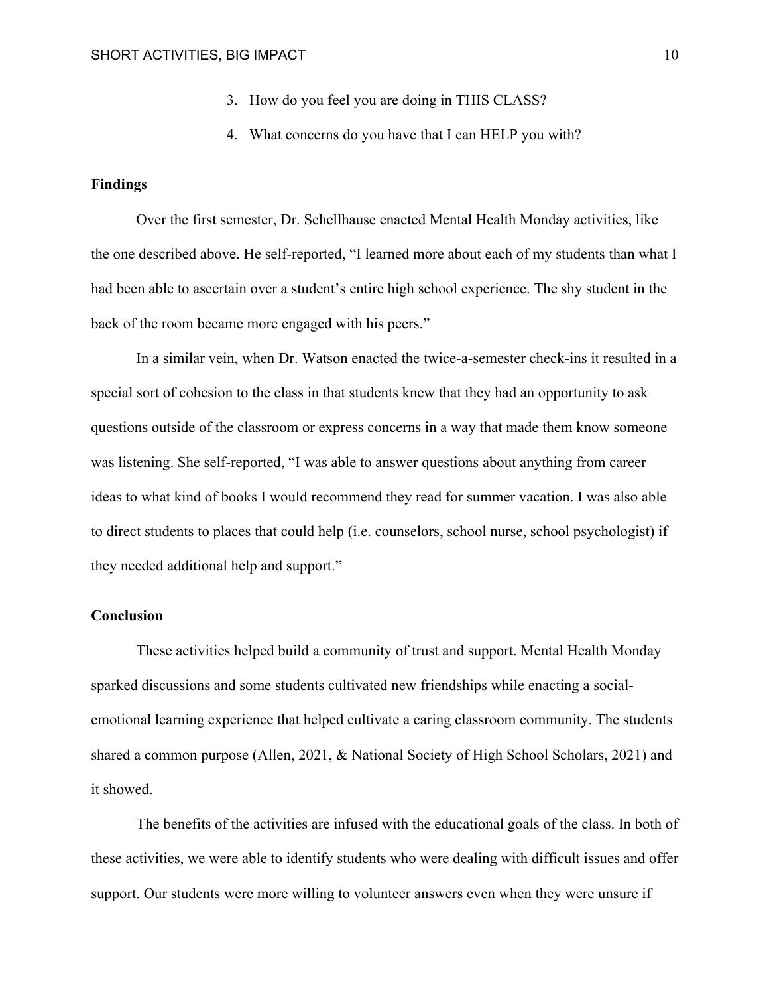- 3. How do you feel you are doing in THIS CLASS?
- 4. What concerns do you have that I can HELP you with?

#### **Findings**

Over the first semester, Dr. Schellhause enacted Mental Health Monday activities, like the one described above. He self-reported, "I learned more about each of my students than what I had been able to ascertain over a student's entire high school experience. The shy student in the back of the room became more engaged with his peers."

In a similar vein, when Dr. Watson enacted the twice-a-semester check-ins it resulted in a special sort of cohesion to the class in that students knew that they had an opportunity to ask questions outside of the classroom or express concerns in a way that made them know someone was listening. She self-reported, "I was able to answer questions about anything from career ideas to what kind of books I would recommend they read for summer vacation. I was also able to direct students to places that could help (i.e. counselors, school nurse, school psychologist) if they needed additional help and support."

## **Conclusion**

These activities helped build a community of trust and support. Mental Health Monday sparked discussions and some students cultivated new friendships while enacting a socialemotional learning experience that helped cultivate a caring classroom community. The students shared a common purpose (Allen, 2021, & National Society of High School Scholars, 2021) and it showed.

The benefits of the activities are infused with the educational goals of the class. In both of these activities, we were able to identify students who were dealing with difficult issues and offer support. Our students were more willing to volunteer answers even when they were unsure if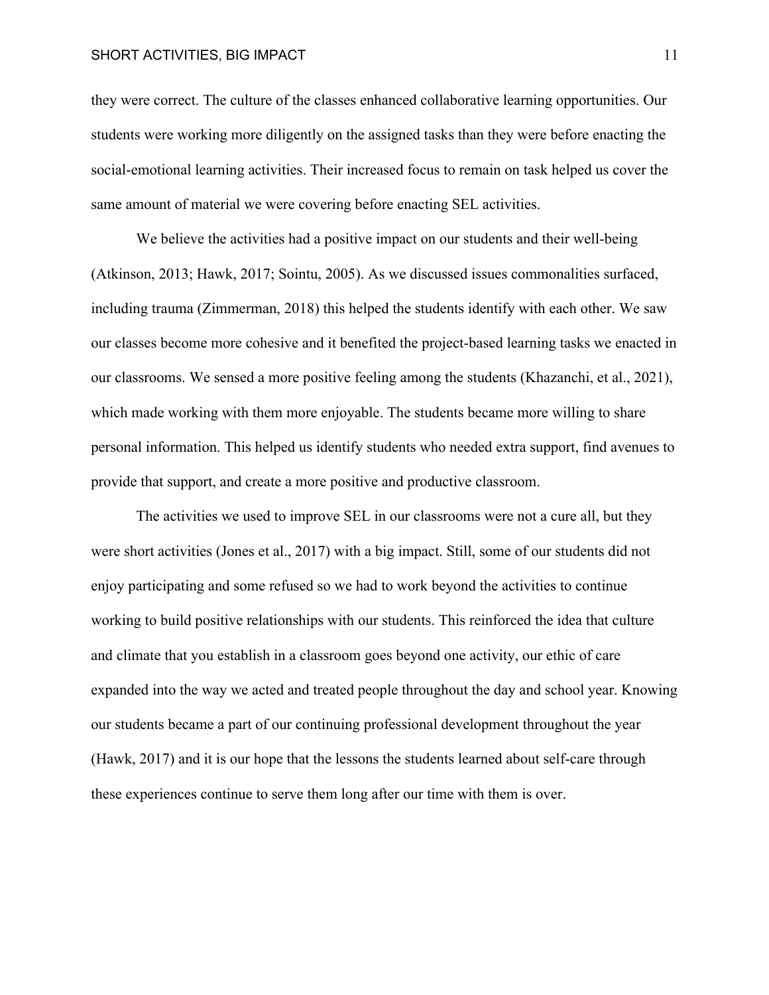#### SHORT ACTIVITIES, BIG IMPACT 11

they were correct. The culture of the classes enhanced collaborative learning opportunities. Our students were working more diligently on the assigned tasks than they were before enacting the social-emotional learning activities. Their increased focus to remain on task helped us cover the same amount of material we were covering before enacting SEL activities.

We believe the activities had a positive impact on our students and their well-being (Atkinson, 2013; Hawk, 2017; Sointu, 2005). As we discussed issues commonalities surfaced, including trauma (Zimmerman, 2018) this helped the students identify with each other. We saw our classes become more cohesive and it benefited the project-based learning tasks we enacted in our classrooms. We sensed a more positive feeling among the students (Khazanchi, et al., 2021), which made working with them more enjoyable. The students became more willing to share personal information. This helped us identify students who needed extra support, find avenues to provide that support, and create a more positive and productive classroom.

The activities we used to improve SEL in our classrooms were not a cure all, but they were short activities (Jones et al., 2017) with a big impact. Still, some of our students did not enjoy participating and some refused so we had to work beyond the activities to continue working to build positive relationships with our students. This reinforced the idea that culture and climate that you establish in a classroom goes beyond one activity, our ethic of care expanded into the way we acted and treated people throughout the day and school year. Knowing our students became a part of our continuing professional development throughout the year (Hawk, 2017) and it is our hope that the lessons the students learned about self-care through these experiences continue to serve them long after our time with them is over.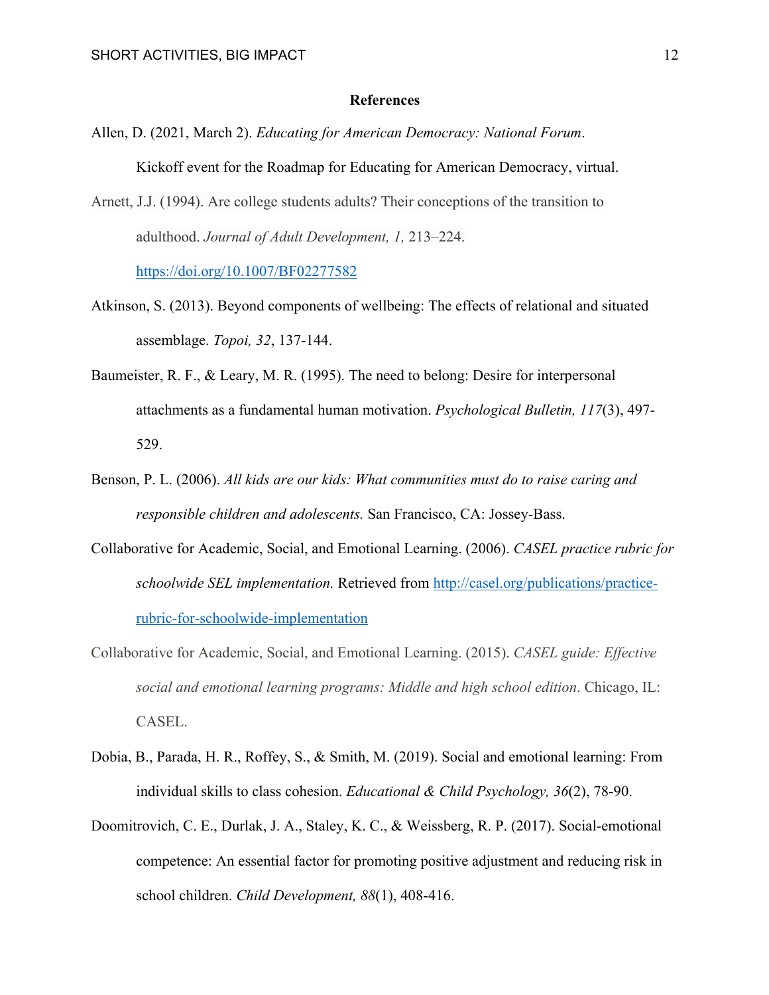#### **References**

- Allen, D. (2021, March 2). *Educating for American Democracy: National Forum*. Kickoff event for the Roadmap for Educating for American Democracy, virtual.
- Arnett, J.J. (1994). Are college students adults? Their conceptions of the transition to adulthood. *Journal of Adult Development, 1,* 213–224. https://doi.org/10.1007/BF02277582

Atkinson, S. (2013). Beyond components of wellbeing: The effects of relational and situated assemblage. *Topoi, 32*, 137-144.

- Baumeister, R. F., & Leary, M. R. (1995). The need to belong: Desire for interpersonal attachments as a fundamental human motivation. *Psychological Bulletin, 117*(3), 497- 529.
- Benson, P. L. (2006). *All kids are our kids: What communities must do to raise caring and responsible children and adolescents.* San Francisco, CA: Jossey-Bass.
- Collaborative for Academic, Social, and Emotional Learning. (2006). *CASEL practice rubric for schoolwide SEL implementation.* Retrieved from http://casel.org/publications/practicerubric-for-schoolwide-implementation
- Collaborative for Academic, Social, and Emotional Learning. (2015). *CASEL guide: Effective social and emotional learning programs: Middle and high school edition*. Chicago, IL: CASEL.
- Dobia, B., Parada, H. R., Roffey, S., & Smith, M. (2019). Social and emotional learning: From individual skills to class cohesion. *Educational & Child Psychology, 36*(2), 78-90.
- Doomitrovich, C. E., Durlak, J. A., Staley, K. C., & Weissberg, R. P. (2017). Social-emotional competence: An essential factor for promoting positive adjustment and reducing risk in school children. *Child Development, 88*(1), 408-416.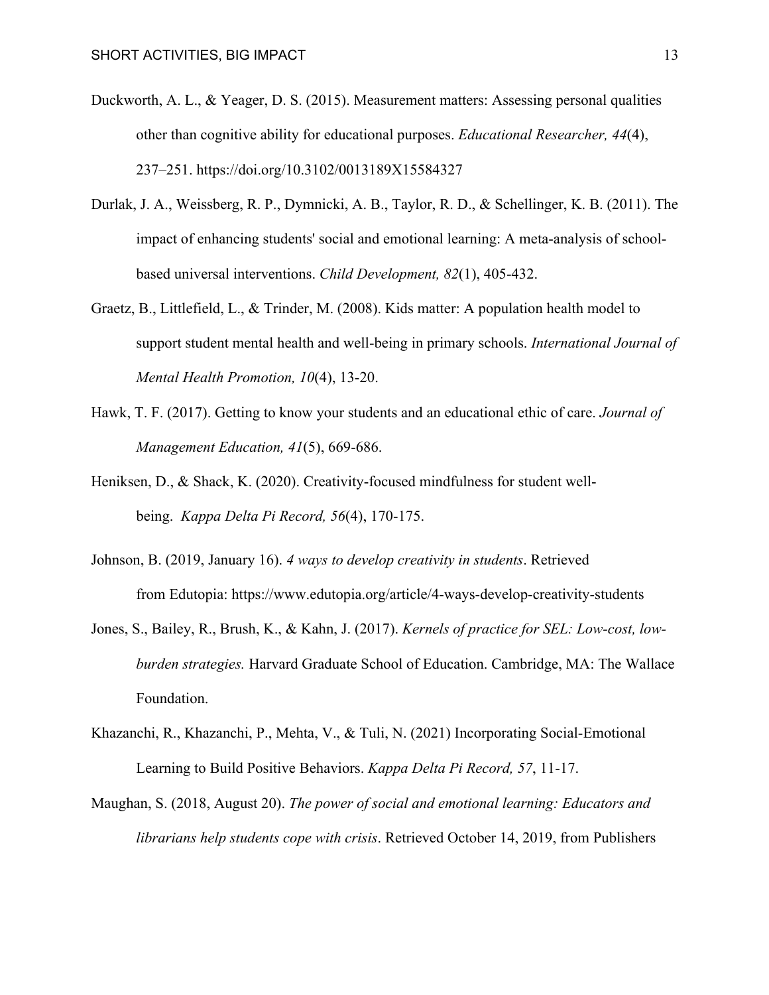- Duckworth, A. L., & Yeager, D. S. (2015). Measurement matters: Assessing personal qualities other than cognitive ability for educational purposes. *Educational Researcher, 44*(4), 237–251. https://doi.org/10.3102/0013189X15584327
- Durlak, J. A., Weissberg, R. P., Dymnicki, A. B., Taylor, R. D., & Schellinger, K. B. (2011). The impact of enhancing students' social and emotional learning: A meta-analysis of schoolbased universal interventions. *Child Development, 82*(1), 405-432.
- Graetz, B., Littlefield, L., & Trinder, M. (2008). Kids matter: A population health model to support student mental health and well-being in primary schools. *International Journal of Mental Health Promotion, 10*(4), 13-20.
- Hawk, T. F. (2017). Getting to know your students and an educational ethic of care. *Journal of Management Education, 41*(5), 669-686.
- Heniksen, D., & Shack, K. (2020). Creativity-focused mindfulness for student wellbeing. *Kappa Delta Pi Record, 56*(4), 170-175.
- Johnson, B. (2019, January 16). *4 ways to develop creativity in students*. Retrieved from Edutopia: https://www.edutopia.org/article/4-ways-develop-creativity-students
- Jones, S., Bailey, R., Brush, K., & Kahn, J. (2017). *Kernels of practice for SEL: Low-cost, lowburden strategies.* Harvard Graduate School of Education. Cambridge, MA: The Wallace Foundation.
- Khazanchi, R., Khazanchi, P., Mehta, V., & Tuli, N. (2021) Incorporating Social-Emotional Learning to Build Positive Behaviors. *Kappa Delta Pi Record, 57*, 11-17.
- Maughan, S. (2018, August 20). *The power of social and emotional learning: Educators and librarians help students cope with crisis*. Retrieved October 14, 2019, from Publishers